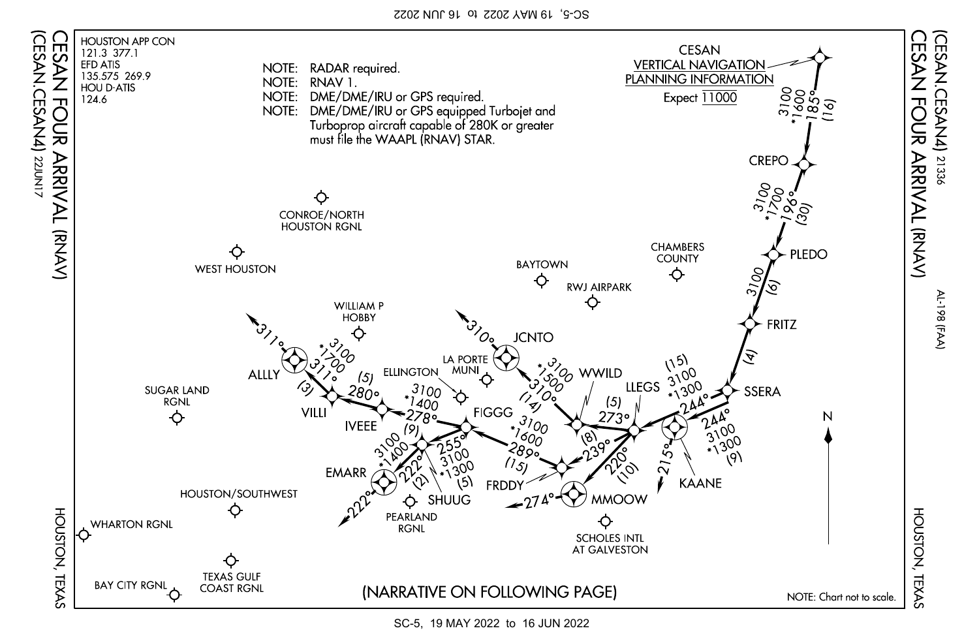SC-5, 19 MAY 2022 to 16 JUN 2022



SC-5, 19 MAY 2022 to 16 JUN 2022